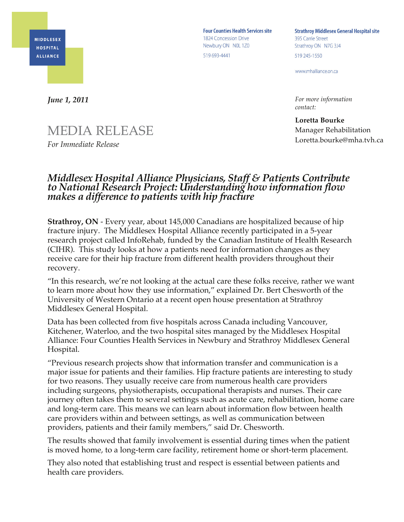

**Four Counties Health Services site** 1824 Concession Drive Newbury ON NOL 1Z0 519 693-4441

**Strathroy Middlesex General Hospital site** 395 Carrie Street Strathroy ON N7G 3J4 519 245-1550

www.mhalliance.on.ca

*For more information contact:*

**Loretta Bourke** Manager Rehabilitation Loretta.bourke@mha.tvh.ca

*June 1, 2011*

## MEDIA RELEASE

*For Immediate Release*

## *Middlesex Hospital Alliance Physicians, Staff & Patients Contribute to National Research Project: Understanding how information flow makes a difference to patients with hip fracture*

**Strathroy, ON** - Every year, about 145,000 Canadians are hospitalized because of hip fracture injury. The Middlesex Hospital Alliance recently participated in a 5-year research project called InfoRehab, funded by the Canadian Institute of Health Research (CIHR). This study looks at how a patients need for information changes as they receive care for their hip fracture from different health providers throughout their recovery.

"In this research, we're not looking at the actual care these folks receive, rather we want to learn more about how they use information," explained Dr. Bert Chesworth of the University of Western Ontario at a recent open house presentation at Strathroy Middlesex General Hospital.

Data has been collected from five hospitals across Canada including Vancouver, Kitchener, Waterloo, and the two hospital sites managed by the Middlesex Hospital Alliance: Four Counties Health Services in Newbury and Strathroy Middlesex General Hospital.

"Previous research projects show that information transfer and communication is a major issue for patients and their families. Hip fracture patients are interesting to study for two reasons. They usually receive care from numerous health care providers including surgeons, physiotherapists, occupational therapists and nurses. Their care journey often takes them to several settings such as acute care, rehabilitation, home care and long-term care. This means we can learn about information flow between health care providers within and between settings, as well as communication between providers, patients and their family members," said Dr. Chesworth.

The results showed that family involvement is essential during times when the patient is moved home, to a long-term care facility, retirement home or short-term placement.

They also noted that establishing trust and respect is essential between patients and health care providers.